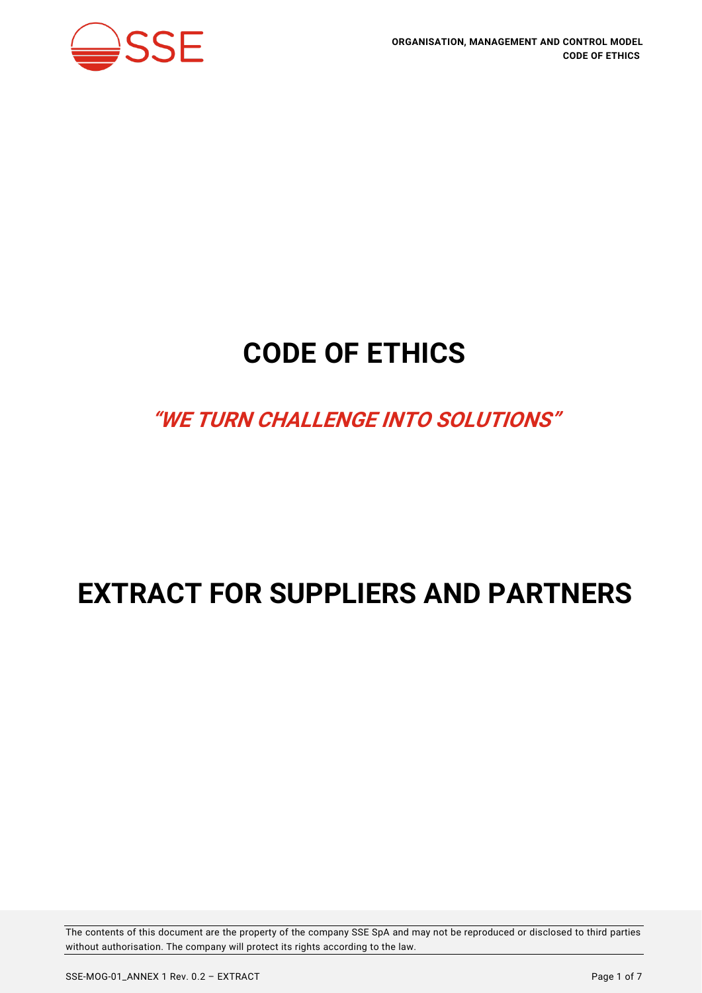

# **CODE OF ETHICS**

# **"WE TURN CHALLENGE INTO SOLUTIONS"**

# **EXTRACT FOR SUPPLIERS AND PARTNERS**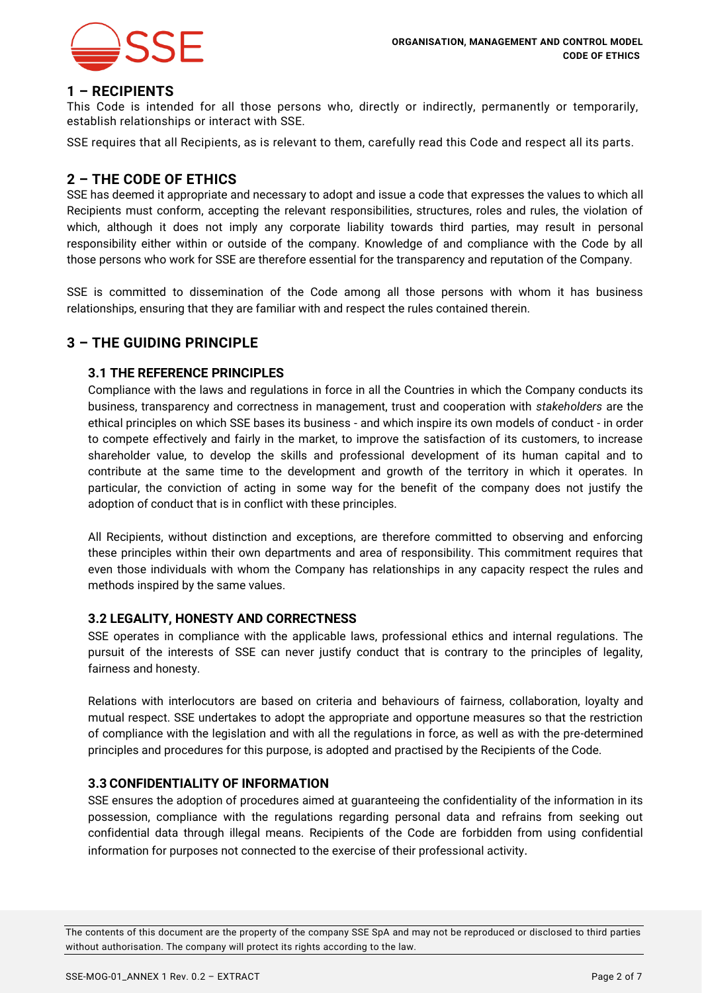

### **1 – RECIPIENTS**

This Code is intended for all those persons who, directly or indirectly, permanently or temporarily, establish relationships or interact with SSE.

SSE requires that all Recipients, as is relevant to them, carefully read this Code and respect all its parts.

## **2 – THE CODE OF ETHICS**

SSE has deemed it appropriate and necessary to adopt and issue a code that expresses the values to which all Recipients must conform, accepting the relevant responsibilities, structures, roles and rules, the violation of which, although it does not imply any corporate liability towards third parties, may result in personal responsibility either within or outside of the company. Knowledge of and compliance with the Code by all those persons who work for SSE are therefore essential for the transparency and reputation of the Company.

SSE is committed to dissemination of the Code among all those persons with whom it has business relationships, ensuring that they are familiar with and respect the rules contained therein.

# **3 – THE GUIDING PRINCIPLE**

#### **3.1 THE REFERENCE PRINCIPLES**

Compliance with the laws and regulations in force in all the Countries in which the Company conducts its business, transparency and correctness in management, trust and cooperation with *stakeholders* are the ethical principles on which SSE bases its business - and which inspire its own models of conduct - in order to compete effectively and fairly in the market, to improve the satisfaction of its customers, to increase shareholder value, to develop the skills and professional development of its human capital and to contribute at the same time to the development and growth of the territory in which it operates. In particular, the conviction of acting in some way for the benefit of the company does not justify the adoption of conduct that is in conflict with these principles.

All Recipients, without distinction and exceptions, are therefore committed to observing and enforcing these principles within their own departments and area of responsibility. This commitment requires that even those individuals with whom the Company has relationships in any capacity respect the rules and methods inspired by the same values.

#### **3.2 LEGALITY, HONESTY AND CORRECTNESS**

SSE operates in compliance with the applicable laws, professional ethics and internal regulations. The pursuit of the interests of SSE can never justify conduct that is contrary to the principles of legality, fairness and honesty.

Relations with interlocutors are based on criteria and behaviours of fairness, collaboration, loyalty and mutual respect. SSE undertakes to adopt the appropriate and opportune measures so that the restriction of compliance with the legislation and with all the regulations in force, as well as with the pre-determined principles and procedures for this purpose, is adopted and practised by the Recipients of the Code.

#### **3.3 CONFIDENTIALITY OF INFORMATION**

SSE ensures the adoption of procedures aimed at guaranteeing the confidentiality of the information in its possession, compliance with the regulations regarding personal data and refrains from seeking out confidential data through illegal means. Recipients of the Code are forbidden from using confidential information for purposes not connected to the exercise of their professional activity.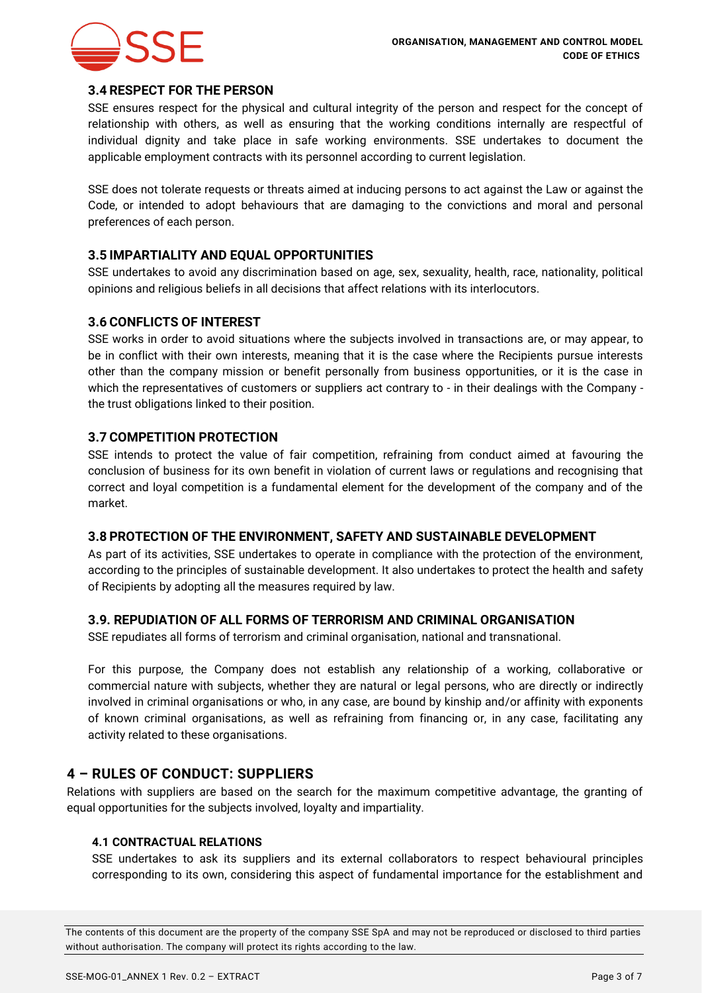

#### **3.4 RESPECT FOR THE PERSON**

SSE ensures respect for the physical and cultural integrity of the person and respect for the concept of relationship with others, as well as ensuring that the working conditions internally are respectful of individual dignity and take place in safe working environments. SSE undertakes to document the applicable employment contracts with its personnel according to current legislation.

SSE does not tolerate requests or threats aimed at inducing persons to act against the Law or against the Code, or intended to adopt behaviours that are damaging to the convictions and moral and personal preferences of each person.

# **3.5 IMPARTIALITY AND EQUAL OPPORTUNITIES**

SSE undertakes to avoid any discrimination based on age, sex, sexuality, health, race, nationality, political opinions and religious beliefs in all decisions that affect relations with its interlocutors.

#### **3.6 CONFLICTS OF INTEREST**

SSE works in order to avoid situations where the subjects involved in transactions are, or may appear, to be in conflict with their own interests, meaning that it is the case where the Recipients pursue interests other than the company mission or benefit personally from business opportunities, or it is the case in which the representatives of customers or suppliers act contrary to - in their dealings with the Company the trust obligations linked to their position.

#### **3.7 COMPETITION PROTECTION**

SSE intends to protect the value of fair competition, refraining from conduct aimed at favouring the conclusion of business for its own benefit in violation of current laws or regulations and recognising that correct and loyal competition is a fundamental element for the development of the company and of the market.

#### **3.8 PROTECTION OF THE ENVIRONMENT, SAFETY AND SUSTAINABLE DEVELOPMENT**

As part of its activities, SSE undertakes to operate in compliance with the protection of the environment, according to the principles of sustainable development. It also undertakes to protect the health and safety of Recipients by adopting all the measures required by law.

#### **3.9. REPUDIATION OF ALL FORMS OF TERRORISM AND CRIMINAL ORGANISATION**

SSE repudiates all forms of terrorism and criminal organisation, national and transnational.

For this purpose, the Company does not establish any relationship of a working, collaborative or commercial nature with subjects, whether they are natural or legal persons, who are directly or indirectly involved in criminal organisations or who, in any case, are bound by kinship and/or affinity with exponents of known criminal organisations, as well as refraining from financing or, in any case, facilitating any activity related to these organisations.

# **4 – RULES OF CONDUCT: SUPPLIERS**

Relations with suppliers are based on the search for the maximum competitive advantage, the granting of equal opportunities for the subjects involved, loyalty and impartiality.

#### **4.1 CONTRACTUAL RELATIONS**

SSE undertakes to ask its suppliers and its external collaborators to respect behavioural principles corresponding to its own, considering this aspect of fundamental importance for the establishment and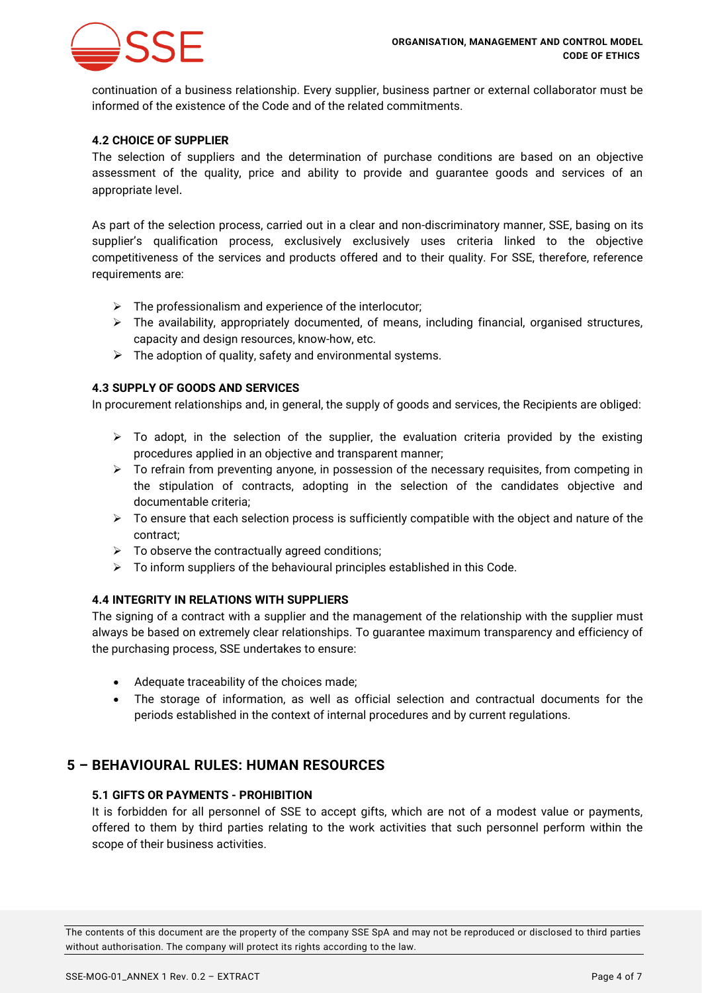

continuation of a business relationship. Every supplier, business partner or external collaborator must be informed of the existence of the Code and of the related commitments.

#### **4.2 CHOICE OF SUPPLIER**

The selection of suppliers and the determination of purchase conditions are based on an objective assessment of the quality, price and ability to provide and guarantee goods and services of an appropriate level.

As part of the selection process, carried out in a clear and non-discriminatory manner, SSE, basing on its supplier's qualification process, exclusively exclusively uses criteria linked to the objective competitiveness of the services and products offered and to their quality. For SSE, therefore, reference requirements are:

- $\triangleright$  The professionalism and experience of the interlocutor;
- ➢ The availability, appropriately documented, of means, including financial, organised structures, capacity and design resources, know-how, etc.
- $\triangleright$  The adoption of quality, safety and environmental systems.

#### **4.3 SUPPLY OF GOODS AND SERVICES**

In procurement relationships and, in general, the supply of goods and services, the Recipients are obliged:

- ➢ To adopt, in the selection of the supplier, the evaluation criteria provided by the existing procedures applied in an objective and transparent manner;
- $\triangleright$  To refrain from preventing anyone, in possession of the necessary requisites, from competing in the stipulation of contracts, adopting in the selection of the candidates objective and documentable criteria;
- $\triangleright$  To ensure that each selection process is sufficiently compatible with the object and nature of the contract;
- $\triangleright$  To observe the contractually agreed conditions;
- $\triangleright$  To inform suppliers of the behavioural principles established in this Code.

#### **4.4 INTEGRITY IN RELATIONS WITH SUPPLIERS**

The signing of a contract with a supplier and the management of the relationship with the supplier must always be based on extremely clear relationships. To guarantee maximum transparency and efficiency of the purchasing process, SSE undertakes to ensure:

- Adequate traceability of the choices made;
- The storage of information, as well as official selection and contractual documents for the periods established in the context of internal procedures and by current regulations.

# **5 – BEHAVIOURAL RULES: HUMAN RESOURCES**

#### **5.1 GIFTS OR PAYMENTS - PROHIBITION**

It is forbidden for all personnel of SSE to accept gifts, which are not of a modest value or payments, offered to them by third parties relating to the work activities that such personnel perform within the scope of their business activities.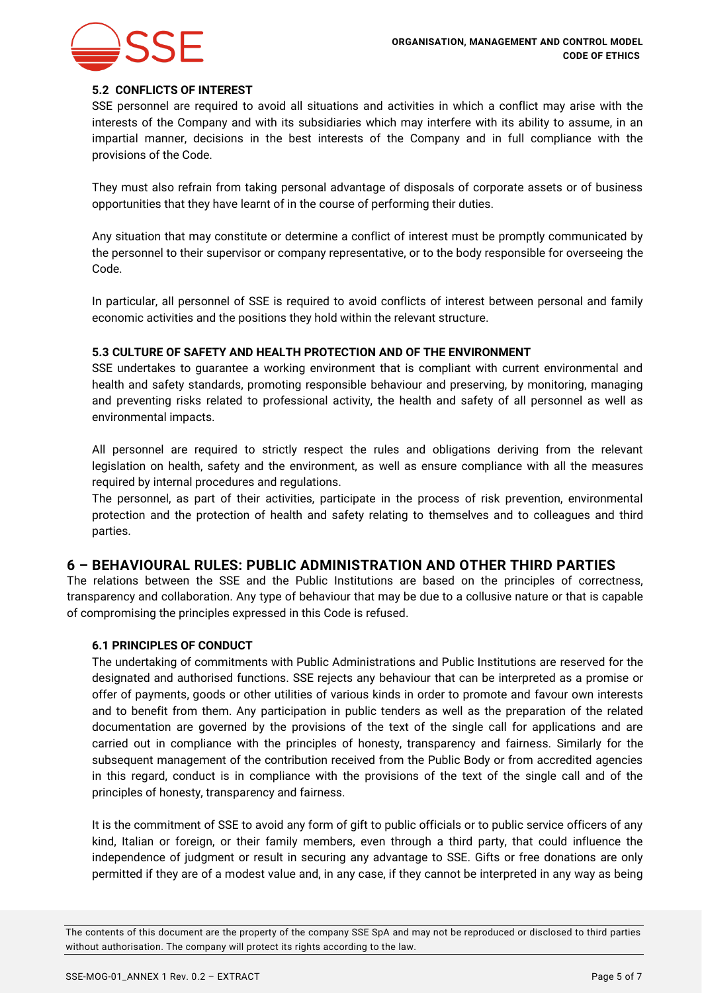

#### **5.2 CONFLICTS OF INTEREST**

SSE personnel are required to avoid all situations and activities in which a conflict may arise with the interests of the Company and with its subsidiaries which may interfere with its ability to assume, in an impartial manner, decisions in the best interests of the Company and in full compliance with the provisions of the Code.

They must also refrain from taking personal advantage of disposals of corporate assets or of business opportunities that they have learnt of in the course of performing their duties.

Any situation that may constitute or determine a conflict of interest must be promptly communicated by the personnel to their supervisor or company representative, or to the body responsible for overseeing the Code.

In particular, all personnel of SSE is required to avoid conflicts of interest between personal and family economic activities and the positions they hold within the relevant structure.

#### **5.3 CULTURE OF SAFETY AND HEALTH PROTECTION AND OF THE ENVIRONMENT**

SSE undertakes to guarantee a working environment that is compliant with current environmental and health and safety standards, promoting responsible behaviour and preserving, by monitoring, managing and preventing risks related to professional activity, the health and safety of all personnel as well as environmental impacts.

All personnel are required to strictly respect the rules and obligations deriving from the relevant legislation on health, safety and the environment, as well as ensure compliance with all the measures required by internal procedures and regulations.

The personnel, as part of their activities, participate in the process of risk prevention, environmental protection and the protection of health and safety relating to themselves and to colleagues and third parties.

# **6 – BEHAVIOURAL RULES: PUBLIC ADMINISTRATION AND OTHER THIRD PARTIES**

The relations between the SSE and the Public Institutions are based on the principles of correctness, transparency and collaboration. Any type of behaviour that may be due to a collusive nature or that is capable of compromising the principles expressed in this Code is refused.

#### **6.1 PRINCIPLES OF CONDUCT**

The undertaking of commitments with Public Administrations and Public Institutions are reserved for the designated and authorised functions. SSE rejects any behaviour that can be interpreted as a promise or offer of payments, goods or other utilities of various kinds in order to promote and favour own interests and to benefit from them. Any participation in public tenders as well as the preparation of the related documentation are governed by the provisions of the text of the single call for applications and are carried out in compliance with the principles of honesty, transparency and fairness. Similarly for the subsequent management of the contribution received from the Public Body or from accredited agencies in this regard, conduct is in compliance with the provisions of the text of the single call and of the principles of honesty, transparency and fairness.

It is the commitment of SSE to avoid any form of gift to public officials or to public service officers of any kind, Italian or foreign, or their family members, even through a third party, that could influence the independence of judgment or result in securing any advantage to SSE. Gifts or free donations are only permitted if they are of a modest value and, in any case, if they cannot be interpreted in any way as being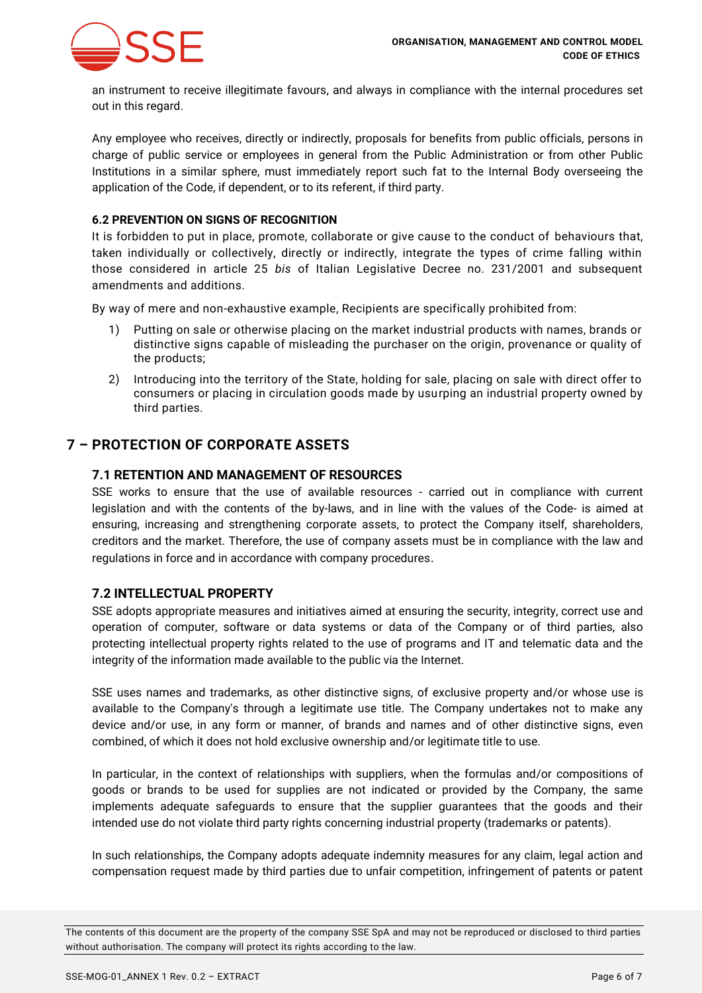

an instrument to receive illegitimate favours, and always in compliance with the internal procedures set out in this regard.

Any employee who receives, directly or indirectly, proposals for benefits from public officials, persons in charge of public service or employees in general from the Public Administration or from other Public Institutions in a similar sphere, must immediately report such fat to the Internal Body overseeing the application of the Code, if dependent, or to its referent, if third party.

#### **6.2 PREVENTION ON SIGNS OF RECOGNITION**

It is forbidden to put in place, promote, collaborate or give cause to the conduct of behaviours that, taken individually or collectively, directly or indirectly, integrate the types of crime falling within those considered in article 25 *bis* of Italian Legislative Decree no. 231/2001 and subsequent amendments and additions.

By way of mere and non-exhaustive example, Recipients are specifically prohibited from:

- 1) Putting on sale or otherwise placing on the market industrial products with names, brands or distinctive signs capable of misleading the purchaser on the origin, provenance or quality of the products;
- 2) Introducing into the territory of the State, holding for sale, placing on sale with direct offer to consumers or placing in circulation goods made by usurping an industrial property owned by third parties.

# **7 – PROTECTION OF CORPORATE ASSETS**

#### **7.1 RETENTION AND MANAGEMENT OF RESOURCES**

SSE works to ensure that the use of available resources - carried out in compliance with current legislation and with the contents of the by-laws, and in line with the values of the Code- is aimed at ensuring, increasing and strengthening corporate assets, to protect the Company itself, shareholders, creditors and the market. Therefore, the use of company assets must be in compliance with the law and regulations in force and in accordance with company procedures.

#### **7.2 INTELLECTUAL PROPERTY**

SSE adopts appropriate measures and initiatives aimed at ensuring the security, integrity, correct use and operation of computer, software or data systems or data of the Company or of third parties, also protecting intellectual property rights related to the use of programs and IT and telematic data and the integrity of the information made available to the public via the Internet.

SSE uses names and trademarks, as other distinctive signs, of exclusive property and/or whose use is available to the Company's through a legitimate use title. The Company undertakes not to make any device and/or use, in any form or manner, of brands and names and of other distinctive signs, even combined, of which it does not hold exclusive ownership and/or legitimate title to use.

In particular, in the context of relationships with suppliers, when the formulas and/or compositions of goods or brands to be used for supplies are not indicated or provided by the Company, the same implements adequate safeguards to ensure that the supplier guarantees that the goods and their intended use do not violate third party rights concerning industrial property (trademarks or patents).

In such relationships, the Company adopts adequate indemnity measures for any claim, legal action and compensation request made by third parties due to unfair competition, infringement of patents or patent

The contents of this document are the property of the company SSE SpA and may not be reproduced or disclosed to third parties without authorisation. The company will protect its rights according to the law.